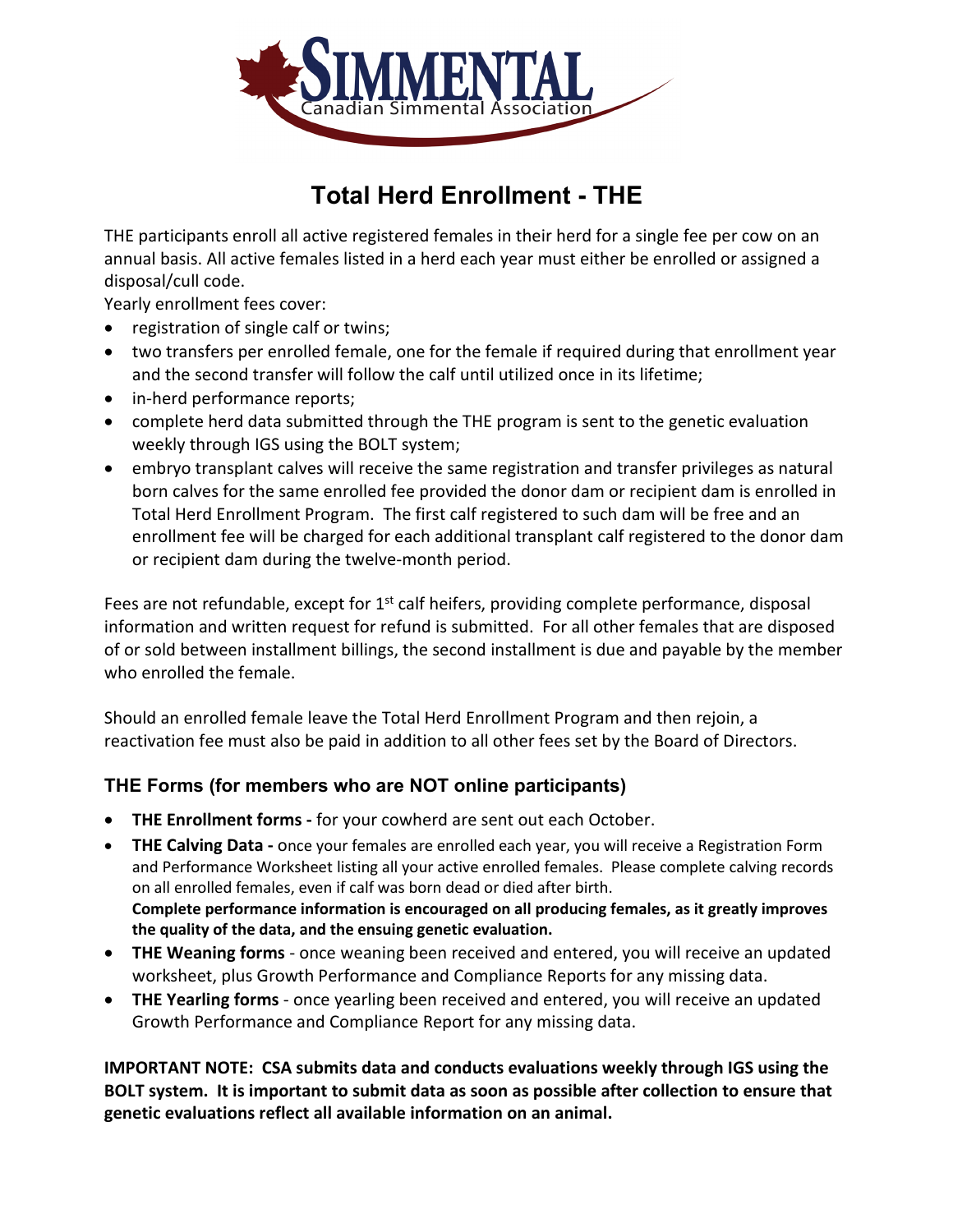

# **Total Herd Enrollment - THE**

THE participants enroll all active registered females in their herd for a single fee per cow on an annual basis. All active females listed in a herd each year must either be enrolled or assigned a disposal/cull code.

Yearly enrollment fees cover:

- registration of single calf or twins;
- two transfers per enrolled female, one for the female if required during that enrollment year and the second transfer will follow the calf until utilized once in its lifetime;
- in-herd performance reports;
- complete herd data submitted through the THE program is sent to the genetic evaluation weekly through IGS using the BOLT system;
- embryo transplant calves will receive the same registration and transfer privileges as natural born calves for the same enrolled fee provided the donor dam or recipient dam is enrolled in Total Herd Enrollment Program. The first calf registered to such dam will be free and an enrollment fee will be charged for each additional transplant calf registered to the donor dam or recipient dam during the twelve-month period.

Fees are not refundable, except for  $1<sup>st</sup>$  calf heifers, providing complete performance, disposal information and written request for refund is submitted. For all other females that are disposed of or sold between installment billings, the second installment is due and payable by the member who enrolled the female.

Should an enrolled female leave the Total Herd Enrollment Program and then rejoin, a reactivation fee must also be paid in addition to all other fees set by the Board of Directors.

### **THE Forms (for members who are NOT online participants)**

- **THE Enrollment forms -** for your cowherd are sent out each October.
- **THE Calving Data -** once your females are enrolled each year, you will receive a Registration Form and Performance Worksheet listing all your active enrolled females. Please complete calving records on all enrolled females, even if calf was born dead or died after birth. **Complete performance information is encouraged on all producing females, as it greatly improves the quality of the data, and the ensuing genetic evaluation.**
- **THE Weaning forms**  once weaning been received and entered, you will receive an updated worksheet, plus Growth Performance and Compliance Reports for any missing data.
- **THE Yearling forms**  once yearling been received and entered, you will receive an updated Growth Performance and Compliance Report for any missing data.

**IMPORTANT NOTE: CSA submits data and conducts evaluations weekly through IGS using the BOLT system. It is important to submit data as soon as possible after collection to ensure that genetic evaluations reflect all available information on an animal.**